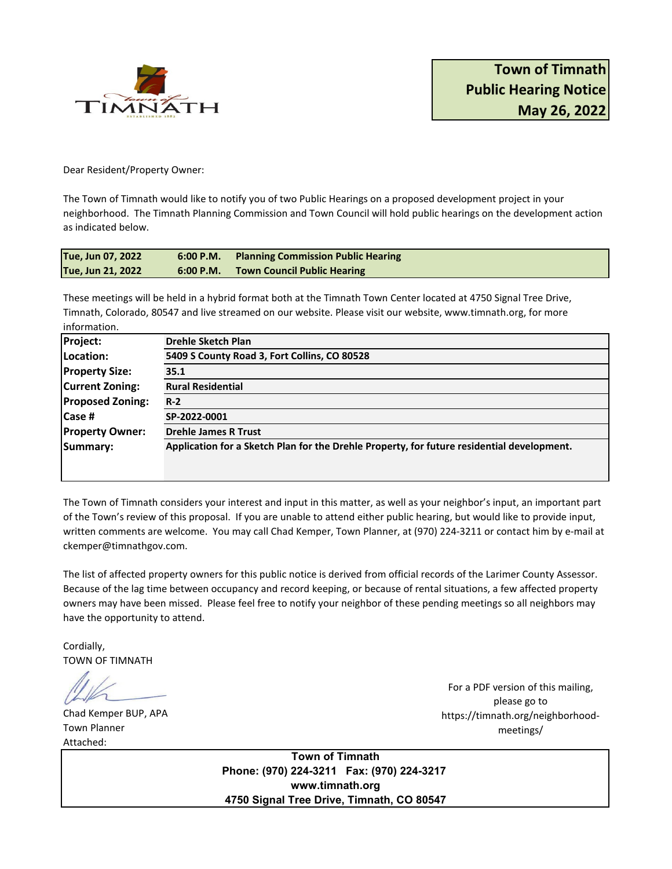

Dear Resident/Property Owner:

The Town of Timnath would like to notify you of two Public Hearings on a proposed development project in your neighborhood. The Timnath Planning Commission and Town Council will hold public hearings on the development action as indicated below.

| Tue, Jun 07, 2022 | 6:00 P.M. | Planning Commission Public Hearing |
|-------------------|-----------|------------------------------------|
| Tue, Jun 21, 2022 | 6:00 P.M. | <b>Town Council Public Hearing</b> |

These meetings will be held in a hybrid format both at the Timnath Town Center located at 4750 Signal Tree Drive, Timnath, Colorado, 80547 and live streamed on our website. Please visit our website, www.timnath.org, for more information.

| Project:                | <b>Drehle Sketch Plan</b>                                                                  |  |  |
|-------------------------|--------------------------------------------------------------------------------------------|--|--|
| Location:               | 5409 S County Road 3, Fort Collins, CO 80528                                               |  |  |
| <b>Property Size:</b>   | 35.1                                                                                       |  |  |
| <b>Current Zoning:</b>  | <b>Rural Residential</b>                                                                   |  |  |
| <b>Proposed Zoning:</b> | $R-2$                                                                                      |  |  |
| <b>Case #</b>           | SP-2022-0001                                                                               |  |  |
| <b>Property Owner:</b>  | <b>Drehle James R Trust</b>                                                                |  |  |
| Summary:                | Application for a Sketch Plan for the Drehle Property, for future residential development. |  |  |
|                         |                                                                                            |  |  |
|                         |                                                                                            |  |  |

The Town of Timnath considers your interest and input in this matter, as well as your neighbor's input, an important part of the Town's review of this proposal. If you are unable to attend either public hearing, but would like to provide input, written comments are welcome. You may call Chad Kemper, Town Planner, at (970) 224-3211 or contact him by e-mail at ckemper@timnathgov.com.

The list of affected property owners for this public notice is derived from official records of the Larimer County Assessor. Because of the lag time between occupancy and record keeping, or because of rental situations, a few affected property owners may have been missed. Please feel free to notify your neighbor of these pending meetings so all neighbors may have the opportunity to attend.

Cordially, TOWN OF TIMNATH

Chad Kemper BUP, APA Town Planner Attached:

For a PDF version of this mailing, please go to https://timnath.org/neighborhoodmeetings/

**Town of Timnath Phone: (970) 224-3211 Fax: (970) 224-3217 www.timnath.org 4750 Signal Tree Drive, Timnath, CO 80547**